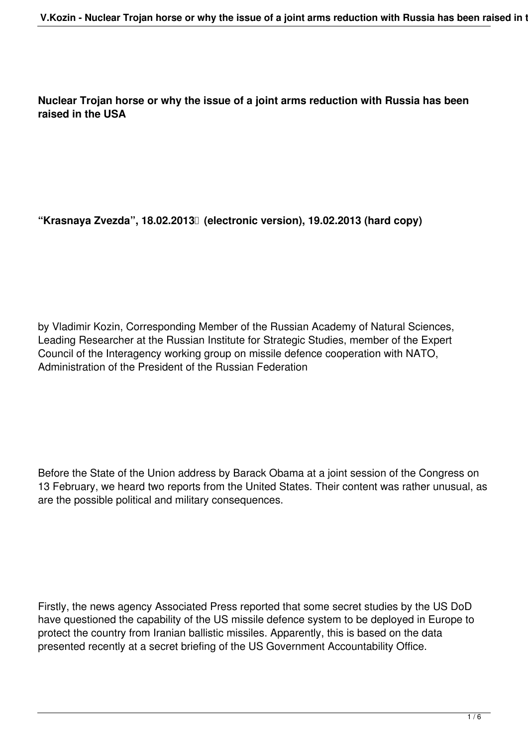**Nuclear Trojan horse or why the issue of a joint arms reduction with Russia has been raised in the USA**

**"Krasnaya Zvezda", 18.02.2013 (electronic version), 19.02.2013 (hard copy)**

by Vladimir Kozin, Corresponding Member of the Russian Academy of Natural Sciences, Leading Researcher at the Russian Institute for Strategic Studies, member of the Expert Council of the Interagency working group on missile defence cooperation with NATO, Administration of the President of the Russian Federation

Before the State of the Union address by Barack Obama at a joint session of the Congress on 13 February, we heard two reports from the United States. Their content was rather unusual, as are the possible political and military consequences.

Firstly, the news agency Associated Press reported that some secret studies by the US DoD have questioned the capability of the US missile defence system to be deployed in Europe to protect the country from Iranian ballistic missiles. Apparently, this is based on the data presented recently at a secret briefing of the US Government Accountability Office.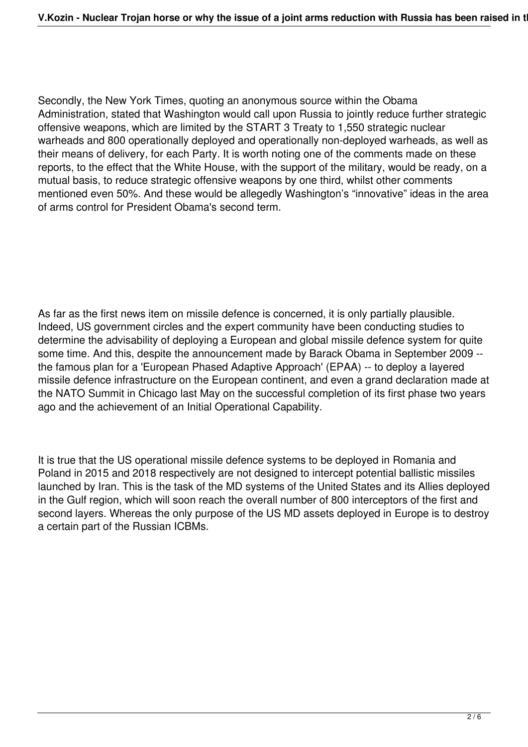Secondly, the New York Times, quoting an anonymous source within the Obama Administration, stated that Washington would call upon Russia to jointly reduce further strategic offensive weapons, which are limited by the START 3 Treaty to 1,550 strategic nuclear warheads and 800 operationally deployed and operationally non-deployed warheads, as well as their means of delivery, for each Party. It is worth noting one of the comments made on these reports, to the effect that the White House, with the support of the military, would be ready, on a mutual basis, to reduce strategic offensive weapons by one third, whilst other comments mentioned even 50%. And these would be allegedly Washington's "innovative" ideas in the area of arms control for President Obama's second term.

As far as the first news item on missile defence is concerned, it is only partially plausible. Indeed, US government circles and the expert community have been conducting studies to determine the advisability of deploying a European and global missile defence system for quite some time. And this, despite the announcement made by Barack Obama in September 2009 - the famous plan for a 'European Phased Adaptive Approach' (EPAA) -- to deploy a layered missile defence infrastructure on the European continent, and even a grand declaration made at the NATO Summit in Chicago last May on the successful completion of its first phase two years ago and the achievement of an Initial Operational Capability.

It is true that the US operational missile defence systems to be deployed in Romania and Poland in 2015 and 2018 respectively are not designed to intercept potential ballistic missiles launched by Iran. This is the task of the MD systems of the United States and its Allies deployed in the Gulf region, which will soon reach the overall number of 800 interceptors of the first and second layers. Whereas the only purpose of the US MD assets deployed in Europe is to destroy a certain part of the Russian ICBMs.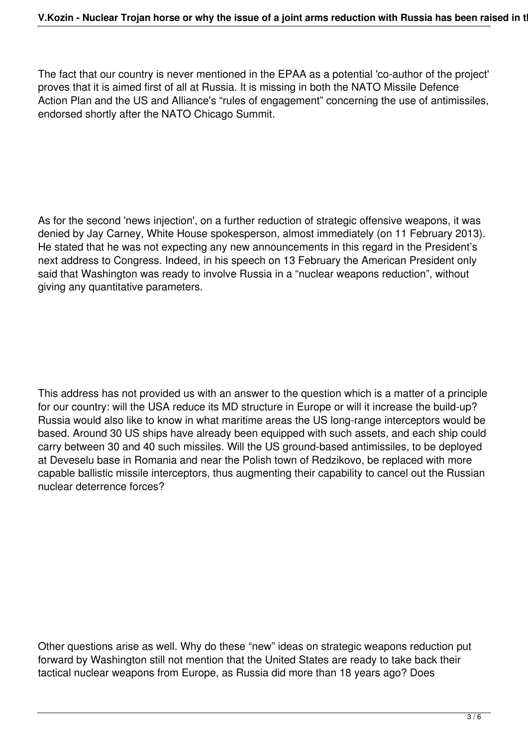The fact that our country is never mentioned in the EPAA as a potential 'co-author of the project' proves that it is aimed first of all at Russia. It is missing in both the NATO Missile Defence Action Plan and the US and Alliance's "rules of engagement" concerning the use of antimissiles, endorsed shortly after the NATO Chicago Summit.

As for the second 'news injection', on a further reduction of strategic offensive weapons, it was denied by Jay Carney, White House spokesperson, almost immediately (on 11 February 2013). He stated that he was not expecting any new announcements in this regard in the President's next address to Congress. Indeed, in his speech on 13 February the American President only said that Washington was ready to involve Russia in a "nuclear weapons reduction", without giving any quantitative parameters.

This address has not provided us with an answer to the question which is a matter of a principle for our country: will the USA reduce its MD structure in Europe or will it increase the build-up? Russia would also like to know in what maritime areas the US long-range interceptors would be based. Around 30 US ships have already been equipped with such assets, and each ship could carry between 30 and 40 such missiles. Will the US ground-based antimissiles, to be deployed at Deveselu base in Romania and near the Polish town of Redzikovo, be replaced with more capable ballistic missile interceptors, thus augmenting their capability to cancel out the Russian nuclear deterrence forces?

Other questions arise as well. Why do these "new" ideas on strategic weapons reduction put forward by Washington still not mention that the United States are ready to take back their tactical nuclear weapons from Europe, as Russia did more than 18 years ago? Does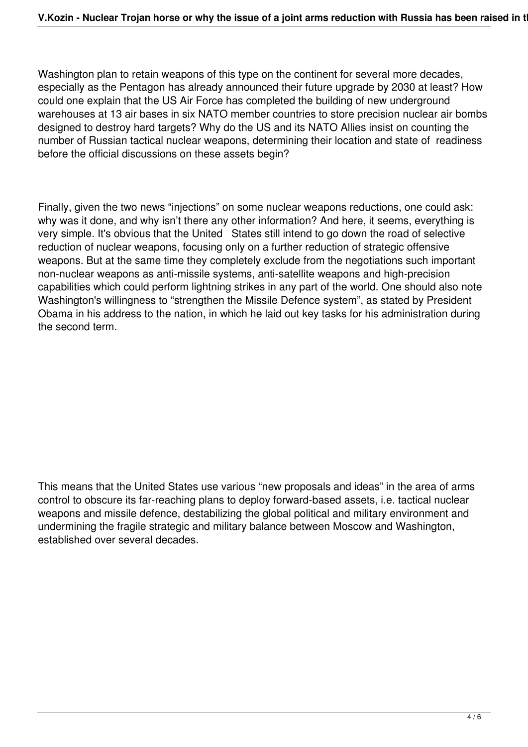Washington plan to retain weapons of this type on the continent for several more decades, especially as the Pentagon has already announced their future upgrade by 2030 at least? How could one explain that the US Air Force has completed the building of new underground warehouses at 13 air bases in six NATO member countries to store precision nuclear air bombs designed to destroy hard targets? Why do the US and its NATO Allies insist on counting the number of Russian tactical nuclear weapons, determining their location and state of readiness before the official discussions on these assets begin?

Finally, given the two news "injections" on some nuclear weapons reductions, one could ask: why was it done, and why isn't there any other information? And here, it seems, everything is very simple. It's obvious that the United States still intend to go down the road of selective reduction of nuclear weapons, focusing only on a further reduction of strategic offensive weapons. But at the same time they completely exclude from the negotiations such important non-nuclear weapons as anti-missile systems, anti-satellite weapons and high-precision capabilities which could perform lightning strikes in any part of the world. One should also note Washington's willingness to "strengthen the Missile Defence system", as stated by President Obama in his address to the nation, in which he laid out key tasks for his administration during the second term.

This means that the United States use various "new proposals and ideas" in the area of arms control to obscure its far-reaching plans to deploy forward-based assets, i.e. tactical nuclear weapons and missile defence, destabilizing the global political and military environment and undermining the fragile strategic and military balance between Moscow and Washington, established over several decades.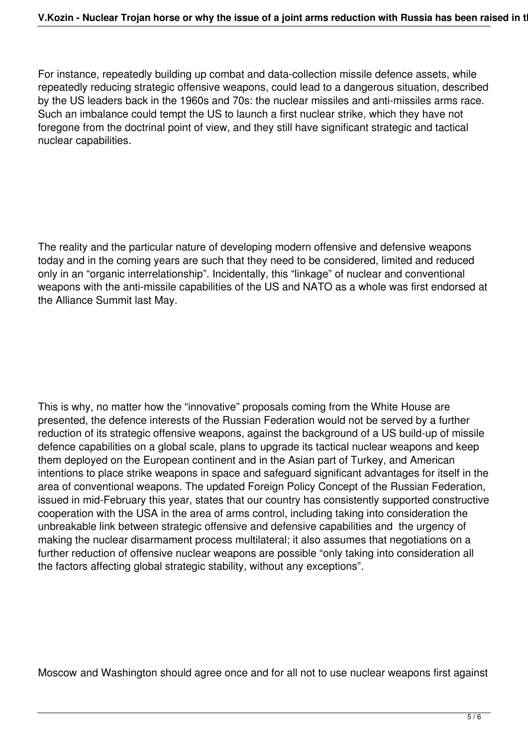For instance, repeatedly building up combat and data-collection missile defence assets, while repeatedly reducing strategic offensive weapons, could lead to a dangerous situation, described by the US leaders back in the 1960s and 70s: the nuclear missiles and anti-missiles arms race. Such an imbalance could tempt the US to launch a first nuclear strike, which they have not foregone from the doctrinal point of view, and they still have significant strategic and tactical nuclear capabilities.

The reality and the particular nature of developing modern offensive and defensive weapons today and in the coming years are such that they need to be considered, limited and reduced only in an "organic interrelationship". Incidentally, this "linkage" of nuclear and conventional weapons with the anti-missile capabilities of the US and NATO as a whole was first endorsed at the Alliance Summit last May.

This is why, no matter how the "innovative" proposals coming from the White House are presented, the defence interests of the Russian Federation would not be served by a further reduction of its strategic offensive weapons, against the background of a US build-up of missile defence capabilities on a global scale, plans to upgrade its tactical nuclear weapons and keep them deployed on the European continent and in the Asian part of Turkey, and American intentions to place strike weapons in space and safeguard significant advantages for itself in the area of conventional weapons. The updated Foreign Policy Concept of the Russian Federation, issued in mid-February this year, states that our country has consistently supported constructive cooperation with the USA in the area of arms control, including taking into consideration the unbreakable link between strategic offensive and defensive capabilities and the urgency of making the nuclear disarmament process multilateral; it also assumes that negotiations on a further reduction of offensive nuclear weapons are possible "only taking into consideration all the factors affecting global strategic stability, without any exceptions".

Moscow and Washington should agree once and for all not to use nuclear weapons first against